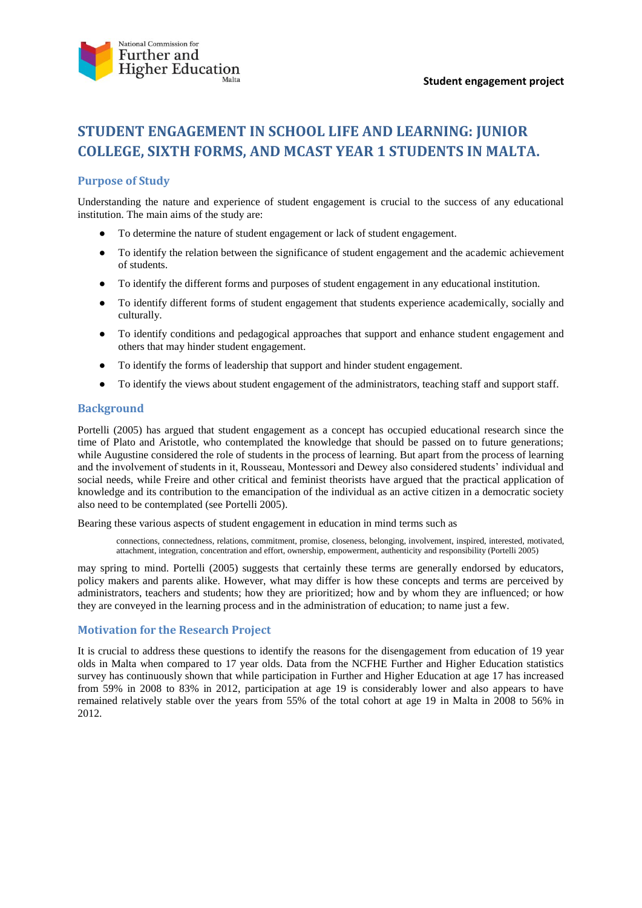

# **STUDENT ENGAGEMENT IN SCHOOL LIFE AND LEARNING: JUNIOR COLLEGE, SIXTH FORMS, AND MCAST YEAR 1 STUDENTS IN MALTA.**

### **Purpose of Study**

Understanding the nature and experience of student engagement is crucial to the success of any educational institution. The main aims of the study are:

- To determine the nature of student engagement or lack of student engagement.
- To identify the relation between the significance of student engagement and the academic achievement of students.
- To identify the different forms and purposes of student engagement in any educational institution.
- To identify different forms of student engagement that students experience academically, socially and culturally.
- To identify conditions and pedagogical approaches that support and enhance student engagement and others that may hinder student engagement.
- To identify the forms of leadership that support and hinder student engagement.
- To identify the views about student engagement of the administrators, teaching staff and support staff.

#### **Background**

Portelli (2005) has argued that student engagement as a concept has occupied educational research since the time of Plato and Aristotle, who contemplated the knowledge that should be passed on to future generations; while Augustine considered the role of students in the process of learning. But apart from the process of learning and the involvement of students in it, Rousseau, Montessori and Dewey also considered students' individual and social needs, while Freire and other critical and feminist theorists have argued that the practical application of knowledge and its contribution to the emancipation of the individual as an active citizen in a democratic society also need to be contemplated (see Portelli 2005).

Bearing these various aspects of student engagement in education in mind terms such as

connections, connectedness, relations, commitment, promise, closeness, belonging, involvement, inspired, interested, motivated, attachment, integration, concentration and effort, ownership, empowerment, authenticity and responsibility (Portelli 2005)

may spring to mind. Portelli (2005) suggests that certainly these terms are generally endorsed by educators, policy makers and parents alike. However, what may differ is how these concepts and terms are perceived by administrators, teachers and students; how they are prioritized; how and by whom they are influenced; or how they are conveyed in the learning process and in the administration of education; to name just a few.

#### **Motivation for the Research Project**

It is crucial to address these questions to identify the reasons for the disengagement from education of 19 year olds in Malta when compared to 17 year olds. Data from the NCFHE Further and Higher Education statistics survey has continuously shown that while participation in Further and Higher Education at age 17 has increased from 59% in 2008 to 83% in 2012, participation at age 19 is considerably lower and also appears to have remained relatively stable over the years from 55% of the total cohort at age 19 in Malta in 2008 to 56% in 2012.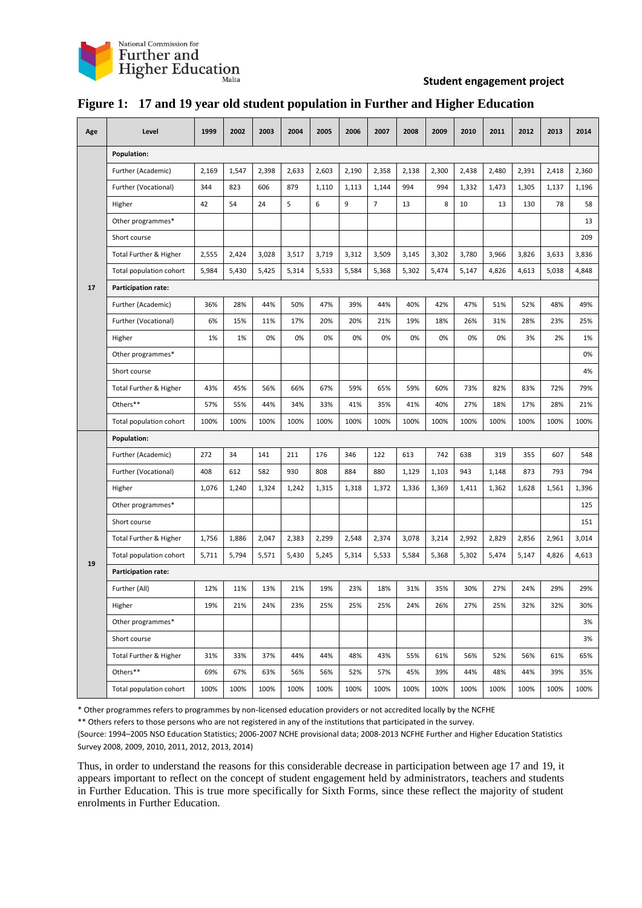

#### **Student engagement project**

| Age | Level                             | 1999  | 2002  | 2003  | 2004  | 2005  | 2006  | 2007           | 2008  | 2009  | 2010  | 2011  | 2012  | 2013  | 2014  |
|-----|-----------------------------------|-------|-------|-------|-------|-------|-------|----------------|-------|-------|-------|-------|-------|-------|-------|
| 17  | Population:                       |       |       |       |       |       |       |                |       |       |       |       |       |       |       |
|     | Further (Academic)                | 2,169 | 1,547 | 2,398 | 2,633 | 2,603 | 2,190 | 2,358          | 2,138 | 2,300 | 2,438 | 2,480 | 2,391 | 2,418 | 2,360 |
|     | Further (Vocational)              | 344   | 823   | 606   | 879   | 1,110 | 1,113 | 1,144          | 994   | 994   | 1,332 | 1,473 | 1,305 | 1,137 | 1,196 |
|     | Higher                            | 42    | 54    | 24    | 5     | 6     | 9     | $\overline{7}$ | 13    | 8     | 10    | 13    | 130   | 78    | 58    |
|     | Other programmes*                 |       |       |       |       |       |       |                |       |       |       |       |       |       | 13    |
|     | Short course                      |       |       |       |       |       |       |                |       |       |       |       |       |       | 209   |
|     | <b>Total Further &amp; Higher</b> | 2,555 | 2,424 | 3,028 | 3,517 | 3,719 | 3,312 | 3,509          | 3,145 | 3,302 | 3,780 | 3,966 | 3,826 | 3,633 | 3,836 |
|     | Total population cohort           | 5,984 | 5,430 | 5,425 | 5,314 | 5,533 | 5,584 | 5,368          | 5,302 | 5,474 | 5,147 | 4,826 | 4,613 | 5,038 | 4,848 |
|     | Participation rate:               |       |       |       |       |       |       |                |       |       |       |       |       |       |       |
|     | Further (Academic)                | 36%   | 28%   | 44%   | 50%   | 47%   | 39%   | 44%            | 40%   | 42%   | 47%   | 51%   | 52%   | 48%   | 49%   |
|     | Further (Vocational)              | 6%    | 15%   | 11%   | 17%   | 20%   | 20%   | 21%            | 19%   | 18%   | 26%   | 31%   | 28%   | 23%   | 25%   |
|     | Higher                            | 1%    | 1%    | 0%    | 0%    | 0%    | 0%    | 0%             | 0%    | 0%    | 0%    | 0%    | 3%    | 2%    | 1%    |
|     | Other programmes*                 |       |       |       |       |       |       |                |       |       |       |       |       |       | 0%    |
|     | Short course                      |       |       |       |       |       |       |                |       |       |       |       |       |       | 4%    |
|     | Total Further & Higher            | 43%   | 45%   | 56%   | 66%   | 67%   | 59%   | 65%            | 59%   | 60%   | 73%   | 82%   | 83%   | 72%   | 79%   |
|     | Others**                          | 57%   | 55%   | 44%   | 34%   | 33%   | 41%   | 35%            | 41%   | 40%   | 27%   | 18%   | 17%   | 28%   | 21%   |
|     | Total population cohort           | 100%  | 100%  | 100%  | 100%  | 100%  | 100%  | 100%           | 100%  | 100%  | 100%  | 100%  | 100%  | 100%  | 100%  |
| 19  | Population:                       |       |       |       |       |       |       |                |       |       |       |       |       |       |       |
|     | Further (Academic)                | 272   | 34    | 141   | 211   | 176   | 346   | 122            | 613   | 742   | 638   | 319   | 355   | 607   | 548   |
|     | Further (Vocational)              | 408   | 612   | 582   | 930   | 808   | 884   | 880            | 1,129 | 1,103 | 943   | 1,148 | 873   | 793   | 794   |
|     | Higher                            | 1,076 | 1,240 | 1,324 | 1,242 | 1,315 | 1,318 | 1,372          | 1,336 | 1,369 | 1,411 | 1,362 | 1,628 | 1,561 | 1,396 |
|     | Other programmes*                 |       |       |       |       |       |       |                |       |       |       |       |       |       | 125   |
|     | Short course                      |       |       |       |       |       |       |                |       |       |       |       |       |       | 151   |
|     | Total Further & Higher            | 1,756 | 1,886 | 2,047 | 2,383 | 2,299 | 2,548 | 2,374          | 3,078 | 3,214 | 2,992 | 2,829 | 2,856 | 2,961 | 3,014 |
|     | Total population cohort           | 5,711 | 5,794 | 5,571 | 5,430 | 5,245 | 5,314 | 5,533          | 5,584 | 5,368 | 5,302 | 5,474 | 5,147 | 4,826 | 4,613 |
|     | <b>Participation rate:</b>        |       |       |       |       |       |       |                |       |       |       |       |       |       |       |
|     | Further (All)                     | 12%   | 11%   | 13%   | 21%   | 19%   | 23%   | 18%            | 31%   | 35%   | 30%   | 27%   | 24%   | 29%   | 29%   |
|     | Higher                            | 19%   | 21%   | 24%   | 23%   | 25%   | 25%   | 25%            | 24%   | 26%   | 27%   | 25%   | 32%   | 32%   | 30%   |
|     | Other programmes*                 |       |       |       |       |       |       |                |       |       |       |       |       |       | 3%    |
|     | Short course                      |       |       |       |       |       |       |                |       |       |       |       |       |       | 3%    |
|     | Total Further & Higher            | 31%   | 33%   | 37%   | 44%   | 44%   | 48%   | 43%            | 55%   | 61%   | 56%   | 52%   | 56%   | 61%   | 65%   |
|     | Others**                          | 69%   | 67%   | 63%   | 56%   | 56%   | 52%   | 57%            | 45%   | 39%   | 44%   | 48%   | 44%   | 39%   | 35%   |
|     | Total population cohort           | 100%  | 100%  | 100%  | 100%  | 100%  | 100%  | 100%           | 100%  | 100%  | 100%  | 100%  | 100%  | 100%  | 100%  |

# **Figure 1: 17 and 19 year old student population in Further and Higher Education**

\* Other programmes refers to programmes by non-licensed education providers or not accredited locally by the NCFHE

\*\* Others refers to those persons who are not registered in any of the institutions that participated in the survey.

(Source: 1994–2005 NSO Education Statistics; 2006-2007 NCHE provisional data; 2008-2013 NCFHE Further and Higher Education Statistics Survey 2008, 2009, 2010, 2011, 2012, 2013, 2014)

Thus, in order to understand the reasons for this considerable decrease in participation between age 17 and 19, it appears important to reflect on the concept of student engagement held by administrators, teachers and students in Further Education. This is true more specifically for Sixth Forms, since these reflect the majority of student enrolments in Further Education.